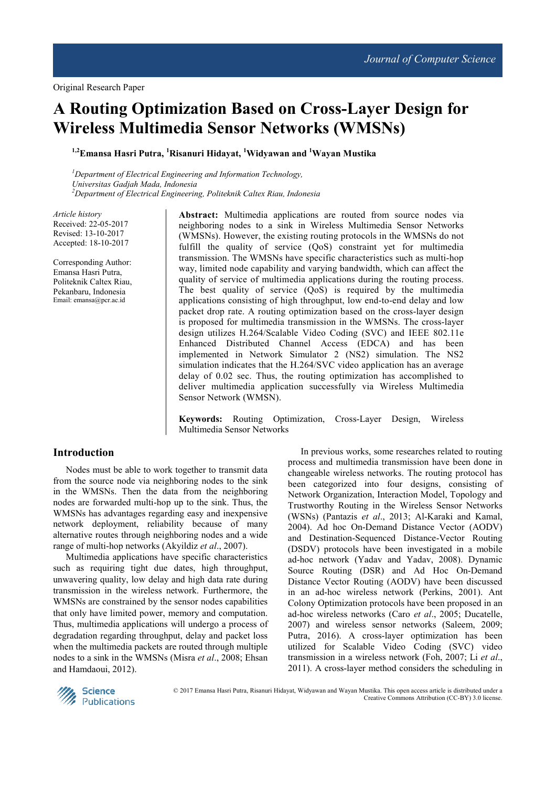# **A Routing Optimization Based on Cross-Layer Design for Wireless Multimedia Sensor Networks (WMSNs)**

**1,2Emansa Hasri Putra, <sup>1</sup>Risanuri Hidayat, <sup>1</sup>Widyawan and <sup>1</sup>Wayan Mustika** 

*<sup>1</sup>Department of Electrical Engineering and Information Technology, Universitas Gadjah Mada, Indonesia <sup>2</sup>Department of Electrical Engineering, Politeknik Caltex Riau, Indonesia* 

*Article history*  Received: 22-05-2017 Revised: 13-10-2017 Accepted: 18-10-2017

Corresponding Author: Emansa Hasri Putra, Politeknik Caltex Riau, Pekanbaru, Indonesia Email: emansa@pcr.ac.id

**Abstract:** Multimedia applications are routed from source nodes via neighboring nodes to a sink in Wireless Multimedia Sensor Networks (WMSNs). However, the existing routing protocols in the WMSNs do not fulfill the quality of service (QoS) constraint yet for multimedia transmission. The WMSNs have specific characteristics such as multi-hop way, limited node capability and varying bandwidth, which can affect the quality of service of multimedia applications during the routing process. The best quality of service (QoS) is required by the multimedia applications consisting of high throughput, low end-to-end delay and low packet drop rate. A routing optimization based on the cross-layer design is proposed for multimedia transmission in the WMSNs. The cross-layer design utilizes H.264/Scalable Video Coding (SVC) and IEEE 802.11e Enhanced Distributed Channel Access (EDCA) and has been implemented in Network Simulator 2 (NS2) simulation. The NS2 simulation indicates that the H.264/SVC video application has an average delay of 0.02 sec. Thus, the routing optimization has accomplished to deliver multimedia application successfully via Wireless Multimedia Sensor Network (WMSN).

**Keywords:** Routing Optimization, Cross-Layer Design, Wireless Multimedia Sensor Networks

## **Introduction**

Nodes must be able to work together to transmit data from the source node via neighboring nodes to the sink in the WMSNs. Then the data from the neighboring nodes are forwarded multi-hop up to the sink. Thus, the WMSNs has advantages regarding easy and inexpensive network deployment, reliability because of many alternative routes through neighboring nodes and a wide range of multi-hop networks (Akyildiz *et al*., 2007).

Multimedia applications have specific characteristics such as requiring tight due dates, high throughput, unwavering quality, low delay and high data rate during transmission in the wireless network. Furthermore, the WMSNs are constrained by the sensor nodes capabilities that only have limited power, memory and computation. Thus, multimedia applications will undergo a process of degradation regarding throughput, delay and packet loss when the multimedia packets are routed through multiple nodes to a sink in the WMSNs (Misra *et al*., 2008; Ehsan and Hamdaoui, 2012).

In previous works, some researches related to routing process and multimedia transmission have been done in changeable wireless networks. The routing protocol has been categorized into four designs, consisting of Network Organization, Interaction Model, Topology and Trustworthy Routing in the Wireless Sensor Networks (WSNs) (Pantazis *et al*., 2013; Al-Karaki and Kamal, 2004). Ad hoc On-Demand Distance Vector (AODV) and Destination-Sequenced Distance-Vector Routing (DSDV) protocols have been investigated in a mobile ad-hoc network (Yadav and Yadav, 2008). Dynamic Source Routing (DSR) and Ad Hoc On-Demand Distance Vector Routing (AODV) have been discussed in an ad-hoc wireless network (Perkins, 2001). Ant Colony Optimization protocols have been proposed in an ad-hoc wireless networks (Caro *et al*., 2005; Ducatelle, 2007) and wireless sensor networks (Saleem, 2009; Putra, 2016). A cross-layer optimization has been utilized for Scalable Video Coding (SVC) video transmission in a wireless network (Foh, 2007; Li *et al*., 2011). A cross-layer method considers the scheduling in



© 2017 Emansa Hasri Putra, Risanuri Hidayat, Widyawan and Wayan Mustika. This open access article is distributed under a Creative Commons Attribution (CC-BY) 3.0 license.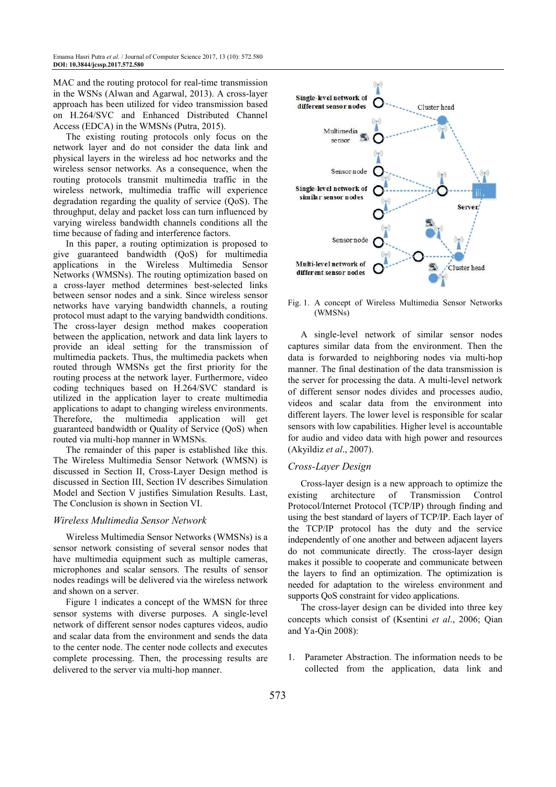MAC and the routing protocol for real-time transmission in the WSNs (Alwan and Agarwal, 2013). A cross-layer approach has been utilized for video transmission based on H.264/SVC and Enhanced Distributed Channel Access (EDCA) in the WMSNs (Putra, 2015).

The existing routing protocols only focus on the network layer and do not consider the data link and physical layers in the wireless ad hoc networks and the wireless sensor networks. As a consequence, when the routing protocols transmit multimedia traffic in the wireless network, multimedia traffic will experience degradation regarding the quality of service (QoS). The throughput, delay and packet loss can turn influenced by varying wireless bandwidth channels conditions all the time because of fading and interference factors.

In this paper, a routing optimization is proposed to give guaranteed bandwidth (QoS) for multimedia applications in the Wireless Multimedia Sensor Networks (WMSNs). The routing optimization based on a cross-layer method determines best-selected links between sensor nodes and a sink. Since wireless sensor networks have varying bandwidth channels, a routing protocol must adapt to the varying bandwidth conditions. The cross-layer design method makes cooperation between the application, network and data link layers to provide an ideal setting for the transmission of multimedia packets. Thus, the multimedia packets when routed through WMSNs get the first priority for the routing process at the network layer. Furthermore, video coding techniques based on H.264/SVC standard is utilized in the application layer to create multimedia applications to adapt to changing wireless environments. Therefore, the multimedia application will get guaranteed bandwidth or Quality of Service (QoS) when routed via multi-hop manner in WMSNs.

The remainder of this paper is established like this. The Wireless Multimedia Sensor Network (WMSN) is discussed in Section II, Cross-Layer Design method is discussed in Section III, Section IV describes Simulation Model and Section V justifies Simulation Results. Last, The Conclusion is shown in Section VI.

#### *Wireless Multimedia Sensor Network*

Wireless Multimedia Sensor Networks (WMSNs) is a sensor network consisting of several sensor nodes that have multimedia equipment such as multiple cameras, microphones and scalar sensors. The results of sensor nodes readings will be delivered via the wireless network and shown on a server.

Figure 1 indicates a concept of the WMSN for three sensor systems with diverse purposes. A single-level network of different sensor nodes captures videos, audio and scalar data from the environment and sends the data to the center node. The center node collects and executes complete processing. Then, the processing results are delivered to the server via multi-hop manner.



Fig. 1. A concept of Wireless Multimedia Sensor Networks (WMSNs)

A single-level network of similar sensor nodes captures similar data from the environment. Then the data is forwarded to neighboring nodes via multi-hop manner. The final destination of the data transmission is the server for processing the data. A multi-level network of different sensor nodes divides and processes audio, videos and scalar data from the environment into different layers. The lower level is responsible for scalar sensors with low capabilities. Higher level is accountable for audio and video data with high power and resources (Akyildiz *et al*., 2007).

#### *Cross-Layer Design*

Cross-layer design is a new approach to optimize the existing architecture of Transmission Control Protocol/Internet Protocol (TCP/IP) through finding and using the best standard of layers of TCP/IP. Each layer of the TCP/IP protocol has the duty and the service independently of one another and between adjacent layers do not communicate directly. The cross-layer design makes it possible to cooperate and communicate between the layers to find an optimization. The optimization is needed for adaptation to the wireless environment and supports QoS constraint for video applications.

The cross-layer design can be divided into three key concepts which consist of (Ksentini *et al*., 2006; Qian and Ya-Qin 2008):

1. Parameter Abstraction. The information needs to be collected from the application, data link and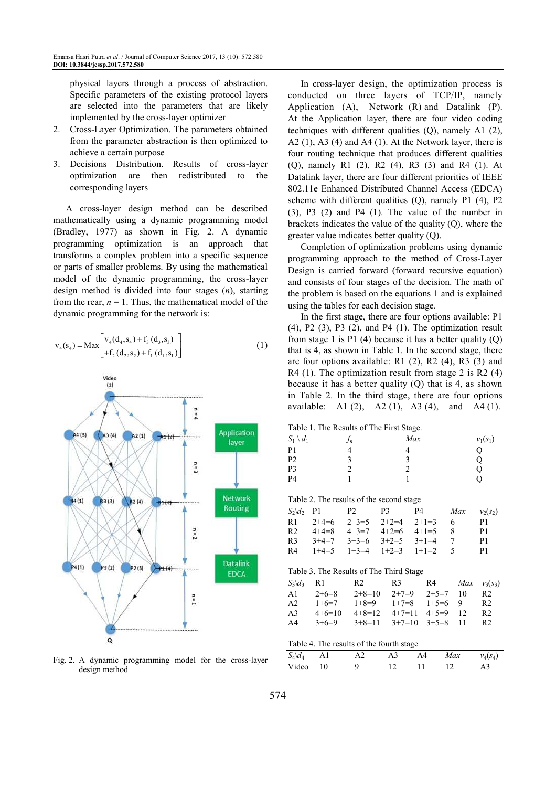physical layers through a process of abstraction. Specific parameters of the existing protocol layers are selected into the parameters that are likely implemented by the cross-layer optimizer

- 2. Cross-Layer Optimization. The parameters obtained from the parameter abstraction is then optimized to achieve a certain purpose
- 3. Decisions Distribution. Results of cross-layer optimization are then redistributed to the corresponding layers

A cross-layer design method can be described mathematically using a dynamic programming model (Bradley, 1977) as shown in Fig. 2. A dynamic programming optimization is an approach that transforms a complex problem into a specific sequence or parts of smaller problems. By using the mathematical model of the dynamic programming, the cross-layer design method is divided into four stages (*n*), starting from the rear,  $n = 1$ . Thus, the mathematical model of the dynamic programming for the network is:

$$
v_4(s_4) = Max \begin{bmatrix} v_4(d_4, s_4) + f_3(d_3, s_3) \\ +f_2(d_2, s_2) + f_1(d_1, s_1) \end{bmatrix}
$$
 (1)



Fig. 2. A dynamic programming model for the cross-layer design method

In cross-layer design, the optimization process is conducted on three layers of TCP/IP, namely Application (A), Network (R) and Datalink (P). At the Application layer, there are four video coding techniques with different qualities (Q), namely A1 (2), A2  $(1)$ , A3  $(4)$  and A4  $(1)$ . At the Network layer, there is four routing technique that produces different qualities (Q), namely R1 (2), R2 (4), R3 (3) and R4 (1). At Datalink layer, there are four different priorities of IEEE 802.11e Enhanced Distributed Channel Access (EDCA) scheme with different qualities (Q), namely P1 (4), P2 (3), P3 (2) and P4 (1). The value of the number in brackets indicates the value of the quality (Q), where the greater value indicates better quality (Q).

Completion of optimization problems using dynamic programming approach to the method of Cross-Layer Design is carried forward (forward recursive equation) and consists of four stages of the decision. The math of the problem is based on the equations 1 and is explained using the tables for each decision stage.

In the first stage, there are four options available: P1 (4), P2 (3), P3 (2), and P4 (1). The optimization result from stage 1 is  $P1$  (4) because it has a better quality (Q) that is 4, as shown in Table 1. In the second stage, there are four options available: R1 (2), R2 (4), R3 (3) and  $R4$  (1). The optimization result from stage 2 is R2 (4) because it has a better quality (Q) that is 4, as shown in Table 2. In the third stage, there are four options available: A1 (2), A2 (1), A3 (4), and A4 (1).

Table 1. The Results of The First Stage.

| $S_1 \setminus d_1$ | Jn | Max | $v_1(s_1)$ |
|---------------------|----|-----|------------|
| P1                  |    |     |            |
| P <sub>2</sub>      |    |     |            |
| P3                  |    |     |            |
| P4                  |    |     |            |
|                     |    |     |            |

Table 2. The results of the second stage

| $S_2\backslash d_2$ P1 |             | P <sub>2</sub> | P3                      | P4 | Max | $v_2(s_2)$ |
|------------------------|-------------|----------------|-------------------------|----|-----|------------|
| R1                     | $2+4=6$     | $2+3=5$        | $2+2=4$ $2+1=3$         |    |     | P1         |
| R <sub>2</sub>         | $4 + 4 = 8$ |                | $4+3=7$ $4+2=6$ $4+1=5$ |    |     | P1         |
| R3                     | $3+4=7$     |                | $3+3=6$ $3+2=5$ $3+1=4$ |    |     | P1         |
| R4                     | $1+4=5$     |                | $1+3=4$ $1+2=3$ $1+1=2$ |    | -5. | P1         |

| Table 3. The Results of The Third Stage |  |
|-----------------------------------------|--|
|-----------------------------------------|--|

| $S_3\backslash d_3$ | R1       | R <sub>2</sub> | R3       | R4      | Max | $v_3(s_3)$ |
|---------------------|----------|----------------|----------|---------|-----|------------|
| A1                  | $2+6=8$  | $2+8=10$       | $2+7=9$  | $2+5=7$ | 10  | R2         |
| A <sub>2</sub>      | $1+6=7$  | $1+8=9$        | $1+7=8$  | $1+5=6$ | Q   | R2         |
| A <sub>3</sub>      | $4+6=10$ | $4 + 8 = 12$   | $4+7=11$ | $4+5=9$ |     | R2         |
| A4                  | $3+6=9$  | $3+8=11$       | $3+7=10$ | $3+5=8$ |     | R2         |

Table 4. The results of the fourth stage

|            | __ |  |    |  |     |   |
|------------|----|--|----|--|-----|---|
| $\omega_4$ |    |  | АК |  | Max |   |
| √ideo      | ີ  |  |    |  |     | . |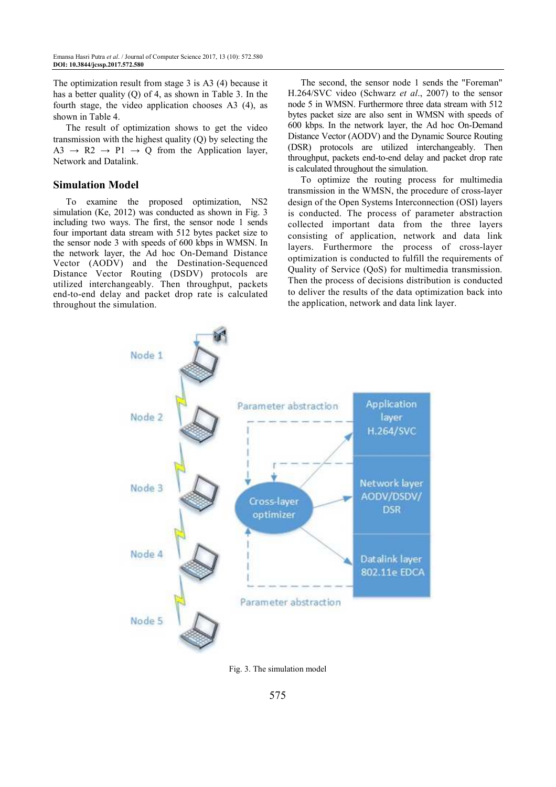The optimization result from stage 3 is A3 (4) because it has a better quality (Q) of 4, as shown in Table 3. In the fourth stage, the video application chooses A3 (4), as shown in Table 4.

The result of optimization shows to get the video transmission with the highest quality (Q) by selecting the A3  $\rightarrow$  R2  $\rightarrow$  P1  $\rightarrow$  Q from the Application layer, Network and Datalink.

## **Simulation Model**

To examine the proposed optimization, NS2 simulation (Ke, 2012) was conducted as shown in Fig. 3 including two ways. The first, the sensor node 1 sends four important data stream with 512 bytes packet size to the sensor node 3 with speeds of 600 kbps in WMSN. In the network layer, the Ad hoc On-Demand Distance Vector (AODV) and the Destination-Sequenced Distance Vector Routing (DSDV) protocols are utilized interchangeably. Then throughput, packets end-to-end delay and packet drop rate is calculated throughout the simulation.

The second, the sensor node 1 sends the "Foreman" H.264/SVC video (Schwarz *et al*., 2007) to the sensor node 5 in WMSN. Furthermore three data stream with 512 bytes packet size are also sent in WMSN with speeds of 600 kbps. In the network layer, the Ad hoc On-Demand Distance Vector (AODV) and the Dynamic Source Routing (DSR) protocols are utilized interchangeably. Then throughput, packets end-to-end delay and packet drop rate is calculated throughout the simulation.

To optimize the routing process for multimedia transmission in the WMSN, the procedure of cross-layer design of the Open Systems Interconnection (OSI) layers is conducted. The process of parameter abstraction collected important data from the three layers consisting of application, network and data link layers. Furthermore the process of cross-layer optimization is conducted to fulfill the requirements of Quality of Service (QoS) for multimedia transmission. Then the process of decisions distribution is conducted to deliver the results of the data optimization back into the application, network and data link layer.



Fig. 3. The simulation model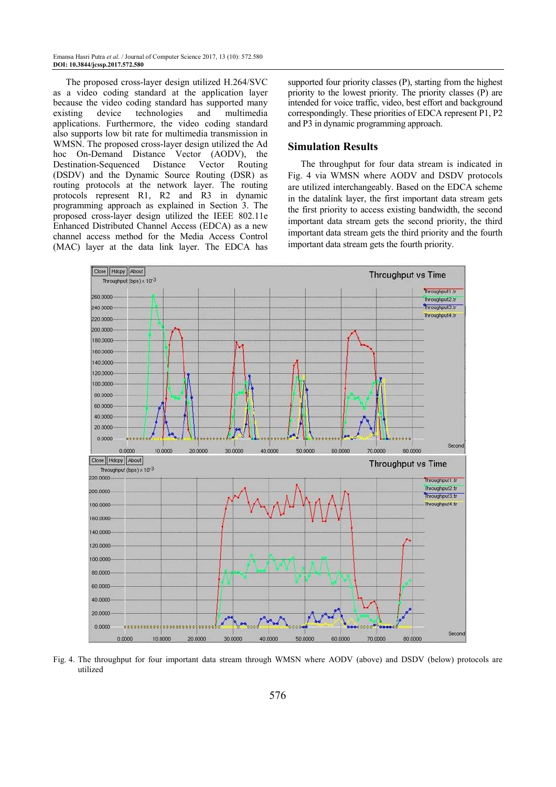Emansa Hasri Putra *et al*. / Journal of Computer Science 2017, 13 (10): 572.580 **DOI: 10.3844/jcssp.2017.572.580** 

The proposed cross-layer design utilized H.264/SVC as a video coding standard at the application layer because the video coding standard has supported many existing device technologies and multimedia applications. Furthermore, the video coding standard also supports low bit rate for multimedia transmission in WMSN. The proposed cross-layer design utilized the Ad hoc On-Demand Distance Vector (AODV), the Destination-Sequenced Distance Vector Routing (DSDV) and the Dynamic Source Routing (DSR) as routing protocols at the network layer. The routing protocols represent R1, R2 and R3 in dynamic programming approach as explained in Section 3. The proposed cross-layer design utilized the IEEE 802.11e Enhanced Distributed Channel Access (EDCA) as a new channel access method for the Media Access Control (MAC) layer at the data link layer. The EDCA has supported four priority classes (P), starting from the highest priority to the lowest priority. The priority classes (P) are intended for voice traffic, video, best effort and background correspondingly. These priorities of EDCA represent P1, P2 and P3 in dynamic programming approach.

#### **Simulation Results**

The throughput for four data stream is indicated in Fig. 4 via WMSN where AODV and DSDV protocols are utilized interchangeably. Based on the EDCA scheme in the datalink layer, the first important data stream gets the first priority to access existing bandwidth, the second important data stream gets the second priority, the third important data stream gets the third priority and the fourth important data stream gets the fourth priority.



Fig. 4. The throughput for four important data stream through WMSN where AODV (above) and DSDV (below) protocols are utilized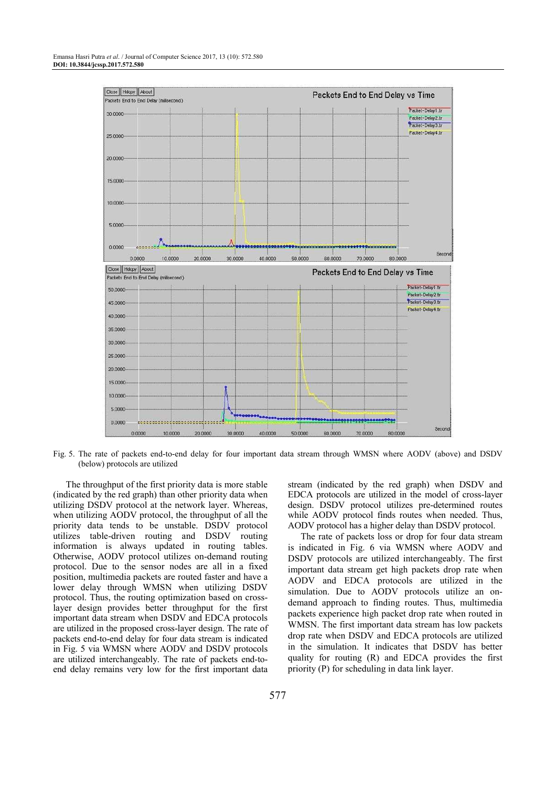

Fig. 5. The rate of packets end-to-end delay for four important data stream through WMSN where AODV (above) and DSDV (below) protocols are utilized

The throughput of the first priority data is more stable (indicated by the red graph) than other priority data when utilizing DSDV protocol at the network layer. Whereas, when utilizing AODV protocol, the throughput of all the priority data tends to be unstable. DSDV protocol utilizes table-driven routing and DSDV routing information is always updated in routing tables. Otherwise, AODV protocol utilizes on-demand routing protocol. Due to the sensor nodes are all in a fixed position, multimedia packets are routed faster and have a lower delay through WMSN when utilizing DSDV protocol. Thus, the routing optimization based on crosslayer design provides better throughput for the first important data stream when DSDV and EDCA protocols are utilized in the proposed cross-layer design. The rate of packets end-to-end delay for four data stream is indicated in Fig. 5 via WMSN where AODV and DSDV protocols are utilized interchangeably. The rate of packets end-toend delay remains very low for the first important data

stream (indicated by the red graph) when DSDV and EDCA protocols are utilized in the model of cross-layer design. DSDV protocol utilizes pre-determined routes while AODV protocol finds routes when needed. Thus, AODV protocol has a higher delay than DSDV protocol.

The rate of packets loss or drop for four data stream is indicated in Fig. 6 via WMSN where AODV and DSDV protocols are utilized interchangeably. The first important data stream get high packets drop rate when AODV and EDCA protocols are utilized in the simulation. Due to AODV protocols utilize an ondemand approach to finding routes. Thus, multimedia packets experience high packet drop rate when routed in WMSN. The first important data stream has low packets drop rate when DSDV and EDCA protocols are utilized in the simulation. It indicates that DSDV has better quality for routing (R) and EDCA provides the first priority (P) for scheduling in data link layer.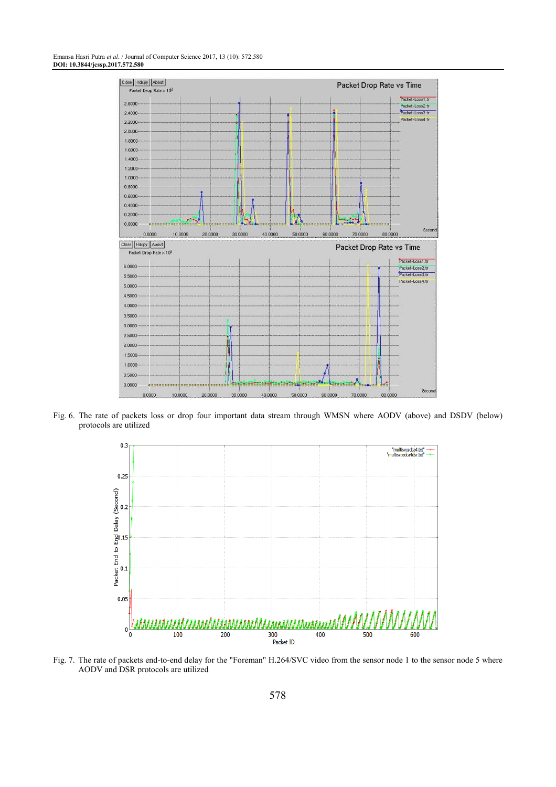#### Emansa Hasri Putra *et al*. / Journal of Computer Science 2017, 13 (10): 572.580 **DOI: 10.3844/jcssp.2017.572.580**



Fig. 6. The rate of packets loss or drop four important data stream through WMSN where AODV (above) and DSDV (below) protocols are utilized



Fig. 7. The rate of packets end-to-end delay for the "Foreman" H.264/SVC video from the sensor node 1 to the sensor node 5 where AODV and DSR protocols are utilized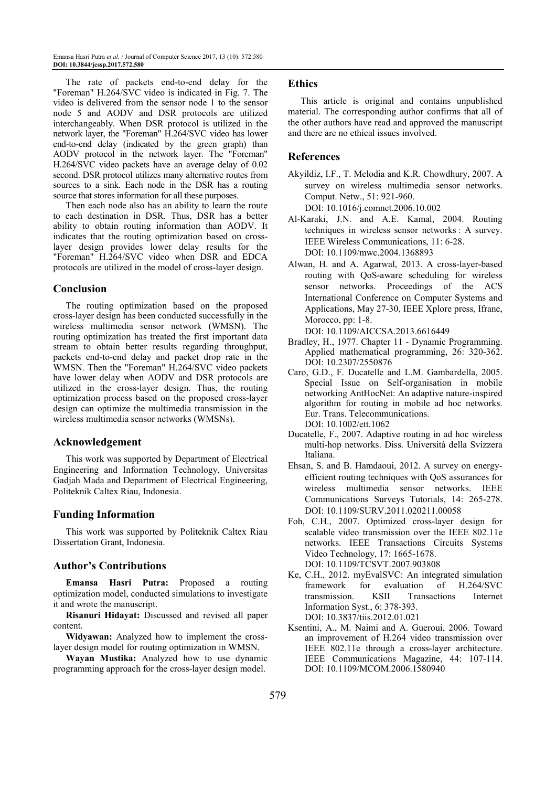The rate of packets end-to-end delay for the "Foreman" H.264/SVC video is indicated in Fig. 7. The video is delivered from the sensor node 1 to the sensor node 5 and AODV and DSR protocols are utilized interchangeably. When DSR protocol is utilized in the network layer, the "Foreman" H.264/SVC video has lower end-to-end delay (indicated by the green graph) than AODV protocol in the network layer. The "Foreman" H.264/SVC video packets have an average delay of 0.02 second. DSR protocol utilizes many alternative routes from sources to a sink. Each node in the DSR has a routing source that stores information for all these purposes.

Then each node also has an ability to learn the route to each destination in DSR. Thus, DSR has a better ability to obtain routing information than AODV. It indicates that the routing optimization based on crosslayer design provides lower delay results for the "Foreman" H.264/SVC video when DSR and EDCA protocols are utilized in the model of cross-layer design.

#### **Conclusion**

The routing optimization based on the proposed cross-layer design has been conducted successfully in the wireless multimedia sensor network (WMSN). The routing optimization has treated the first important data stream to obtain better results regarding throughput, packets end-to-end delay and packet drop rate in the WMSN. Then the "Foreman" H.264/SVC video packets have lower delay when AODV and DSR protocols are utilized in the cross-layer design. Thus, the routing optimization process based on the proposed cross-layer design can optimize the multimedia transmission in the wireless multimedia sensor networks (WMSNs).

#### **Acknowledgement**

This work was supported by Department of Electrical Engineering and Information Technology, Universitas Gadjah Mada and Department of Electrical Engineering, Politeknik Caltex Riau, Indonesia.

# **Funding Information**

This work was supported by Politeknik Caltex Riau Dissertation Grant, Indonesia.

#### **Author's Contributions**

**Emansa Hasri Putra:** Proposed a routing optimization model, conducted simulations to investigate it and wrote the manuscript.

**Risanuri Hidayat:** Discussed and revised all paper content.

**Widyawan:** Analyzed how to implement the crosslayer design model for routing optimization in WMSN.

**Wayan Mustika:** Analyzed how to use dynamic programming approach for the cross-layer design model.

#### **Ethics**

This article is original and contains unpublished material. The corresponding author confirms that all of the other authors have read and approved the manuscript and there are no ethical issues involved.

# **References**

Akyildiz, I.F., T. Melodia and K.R. Chowdhury, 2007. A survey on wireless multimedia sensor networks. Comput. Netw., 51: 921-960.

DOI: 10.1016/j.comnet.2006.10.002

- Al-Karaki, J.N. and A.E. Kamal, 2004. Routing techniques in wireless sensor networks : A survey. IEEE Wireless Communications, 11: 6-28. DOI: 10.1109/mwc.2004.1368893
- Alwan, H. and A. Agarwal, 2013. A cross-layer-based routing with QoS-aware scheduling for wireless sensor networks. Proceedings of the ACS International Conference on Computer Systems and Applications, May 27-30, IEEE Xplore press, Ifrane, Morocco, pp: 1-8.

DOI: 10.1109/AICCSA.2013.6616449

- Bradley, H., 1977. Chapter 11 Dynamic Programming. Applied mathematical programming, 26: 320-362. DOI: 10.2307/2550876
- Caro, G.D., F. Ducatelle and L.M. Gambardella, 2005. Special Issue on Self-organisation in mobile networking AntHocNet: An adaptive nature-inspired algorithm for routing in mobile ad hoc networks. Eur. Trans. Telecommunications. DOI: 10.1002/ett.1062
- Ducatelle, F., 2007. Adaptive routing in ad hoc wireless multi-hop networks. Diss. Università della Svizzera Italiana.
- Ehsan, S. and B. Hamdaoui, 2012. A survey on energyefficient routing techniques with QoS assurances for wireless multimedia sensor networks. IEEE Communications Surveys Tutorials, 14: 265-278. DOI: 10.1109/SURV.2011.020211.00058
- Foh, C.H., 2007. Optimized cross-layer design for scalable video transmission over the IEEE 802.11e networks. IEEE Transactions Circuits Systems Video Technology, 17: 1665-1678. DOI: 10.1109/TCSVT.2007.903808
- Ke, C.H., 2012. myEvalSVC: An integrated simulation framework for evaluation of H.264/SVC transmission. KSII Transactions Internet Information Syst., 6: 378-393. DOI: 10.3837/tiis.2012.01.021
- Ksentini, A., M. Naimi and A. Gueroui, 2006. Toward an improvement of H.264 video transmission over IEEE 802.11e through a cross-layer architecture. IEEE Communications Magazine, 44: 107-114. DOI: 10.1109/MCOM.2006.1580940